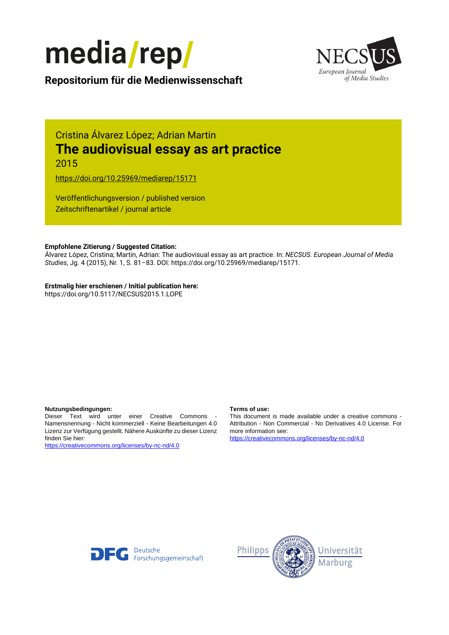



**Repositorium für die [Medienwissenschaft](https://mediarep.org)**

# Cristina Álvarez López; Adrian Martin **The audiovisual essay as art practice** 2015

<https://doi.org/10.25969/mediarep/15171>

Veröffentlichungsversion / published version Zeitschriftenartikel / journal article

### **Empfohlene Zitierung / Suggested Citation:**

Álvarez López, Cristina; Martin, Adrian: The audiovisual essay as art practice. In: *NECSUS. European Journal of Media Studies*, Jg. 4 (2015), Nr. 1, S. 81–83. DOI: https://doi.org/10.25969/mediarep/15171.

### **Erstmalig hier erschienen / Initial publication here:**

https://doi.org/10.5117/NECSUS2015.1.LOPE

#### **Nutzungsbedingungen: Terms of use:**

Dieser Text wird unter einer Creative Commons - Namensnennung - Nicht kommerziell - Keine Bearbeitungen 4.0 Lizenz zur Verfügung gestellt. Nähere Auskünfte zu dieser Lizenz finden Sie hier:

<https://creativecommons.org/licenses/by-nc-nd/4.0>

This document is made available under a creative commons - Attribution - Non Commercial - No Derivatives 4.0 License. For more information see:

<https://creativecommons.org/licenses/by-nc-nd/4.0>



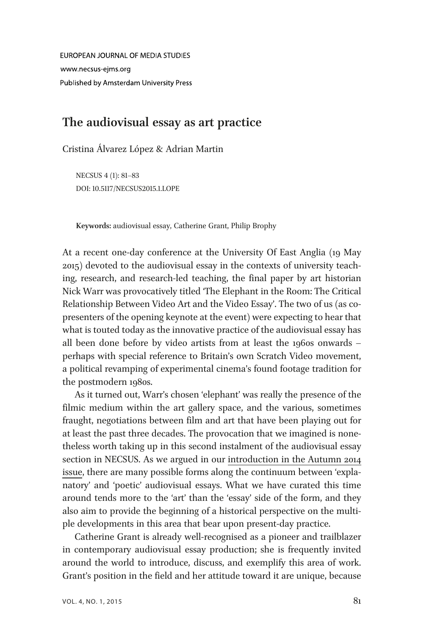EUROPEAN JOURNAL OF MEDIA STUDIES www.necsus-ejms.org Published by Amsterdam University Press

## The audiovisual essay as art practice

Cristina Álvarez López & Adrian Martin

NECSUS 4 (1): 81–83 DOI: 10.5117/NECSUS2015.1.LOPE

Keywords: audiovisual essay, Catherine Grant, Philip Brophy

At a recent one-day conference at the University Of East Anglia (19 May 2015) devoted to the audiovisual essay in the contexts of university teaching, research, and research-led teaching, the final paper by art historian Nick Warr was provocatively titled 'The Elephant in the Room: The Critical Relationship Between Video Art and the Video Essay'. The two of us (as copresenters of the opening keynote at the event) were expecting to hear that what is touted today as the innovative practice of the audiovisual essay has all been done before by video artists from at least the 1960s onwards – perhaps with special reference to Britain's own Scratch Video movement, a political revamping of experimental cinema's found footage tradition for the postmodern 1980s.

As it turned out, Warr's chosen 'elephant' was really the presence of the filmic medium within the art gallery space, and the various, sometimes fraught, negotiations between film and art that have been playing out for at least the past three decades. The provocation that we imagined is nonetheless worth taking up in this second instalment of the audiovisual essay section in NECSUS. As we argued in our introduction in the Autumn 2014 issue, there are many possible forms along the continuum between 'explanatory' and 'poetic' audiovisual essays. What we have curated this time around tends more to the 'art' than the 'essay' side of the form, and they also aim to provide the beginning of a historical perspective on the multiple developments in this area that bear upon present-day practice.

Catherine Grant is already well-recognised as a pioneer and trailblazer in contemporary audiovisual essay production; she is frequently invited around the world to introduce, discuss, and exemplify this area of work. Grant's position in the field and her attitude toward it are unique, because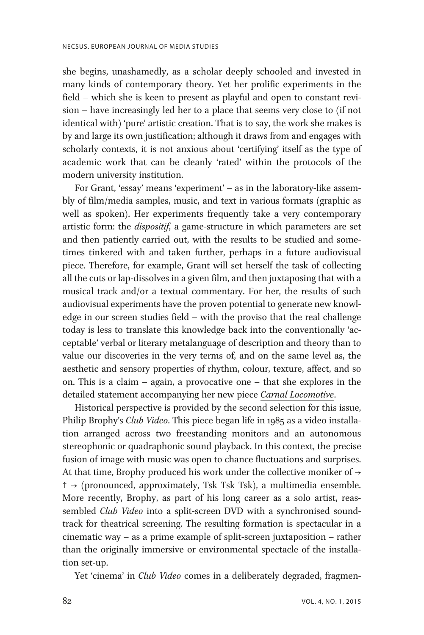she begins, unashamedly, as a scholar deeply schooled and invested in many kinds of contemporary theory. Yet her prolific experiments in the field – which she is keen to present as playful and open to constant revision – have increasingly led her to a place that seems very close to (if not identical with) 'pure' artistic creation. That is to say, the work she makes is by and large its own justification; although it draws from and engages with scholarly contexts, it is not anxious about 'certifying' itself as the type of academic work that can be cleanly 'rated' within the protocols of the modern university institution.

For Grant, 'essay' means 'experiment' – as in the laboratory-like assembly of film/media samples, music, and text in various formats (graphic as well as spoken). Her experiments frequently take a very contemporary artistic form: the dispositif, a game-structure in which parameters are set and then patiently carried out, with the results to be studied and sometimes tinkered with and taken further, perhaps in a future audiovisual piece. Therefore, for example, Grant will set herself the task of collecting all the cuts or lap-dissolves in a given film, and then juxtaposing that with a musical track and/or a textual commentary. For her, the results of such audiovisual experiments have the proven potential to generate new knowledge in our screen studies field – with the proviso that the real challenge today is less to translate this knowledge back into the conventionally 'acceptable' verbal or literary metalanguage of description and theory than to value our discoveries in the very terms of, and on the same level as, the aesthetic and sensory properties of rhythm, colour, texture, affect, and so on. This is a claim – again, a provocative one – that she explores in the detailed statement accompanying her new piece Carnal Locomotive.

Historical perspective is provided by the second selection for this issue, Philip Brophy's Club Video. This piece began life in 1985 as a video installation arranged across two freestanding monitors and an autonomous stereophonic or quadraphonic sound playback. In this context, the precise fusion of image with music was open to chance fluctuations and surprises. At that time, Brophy produced his work under the collective moniker of  $\rightarrow$  $\uparrow \rightarrow$  (pronounced, approximately, Tsk Tsk Tsk), a multimedia ensemble. More recently, Brophy, as part of his long career as a solo artist, reassembled Club Video into a split-screen DVD with a synchronised soundtrack for theatrical screening. The resulting formation is spectacular in a cinematic way – as a prime example of split-screen juxtaposition – rather than the originally immersive or environmental spectacle of the installation set-up.

Yet 'cinema' in Club Video comes in a deliberately degraded, fragmen-